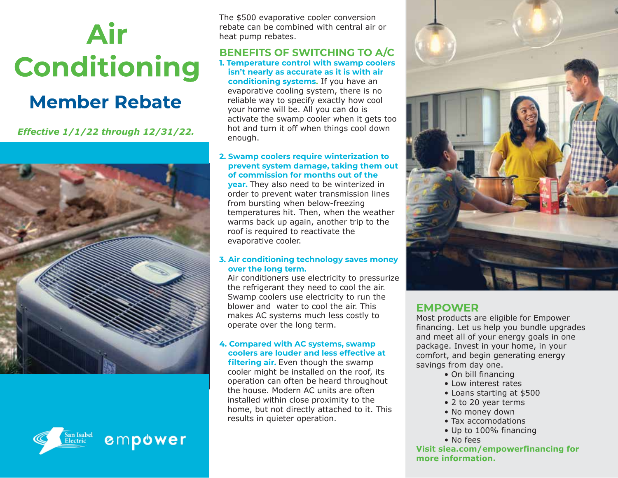# Air **Conditioning**

## **Member Rebate**

*Effective 1/1/22 through 12/31/22.*





The \$500 evaporative cooler conversion rebate can be combined with central air or heat pump rebates.

#### **BENEFITS OF SWITCHING TO A/C 1. Temperature control with swamp coolers isn't nearly as accurate as it is with air conditioning systems.** If you have an evaporative cooling system, there is no reliable way to specify exactly how cool your home will be. All you can do is activate the swamp cooler when it gets too hot and turn it off when things cool down enough.

**2. Swamp coolers require winterization to prevent system damage, taking them out of commission for months out of the year.** They also need to be winterized in order to prevent water transmission lines from bursting when below-freezing temperatures hit. Then, when the weather warms back up again, another trip to the roof is required to reactivate the evaporative cooler.

### **3. Air conditioning technology saves money over the long term.**

 Air conditioners use electricity to pressurize the refrigerant they need to cool the air. Swamp coolers use electricity to run the blower and water to cool the air. This makes AC systems much less costly to operate over the long term.

### **4. Compared with AC systems, swamp coolers are louder and less effective at**

 **filtering air.** Even though the swamp cooler might be installed on the roof, its operation can often be heard throughout the house. Modern AC units are often installed within close proximity to the home, but not directly attached to it. This results in quieter operation.



### **EMPOWER**

Most products are eligible for Empower financing. Let us help you bundle upgrades and meet all of your energy goals in one package. Invest in your home, in your comfort, and begin generating energy savings from day one.

- On bill financing
- Low interest rates
- Loans starting at \$500
- 2 to 20 year terms
- No money down
- Tax accomodations
- Up to 100% financing
- No fees

**Visit siea.com/empowerfinancing for more information.**